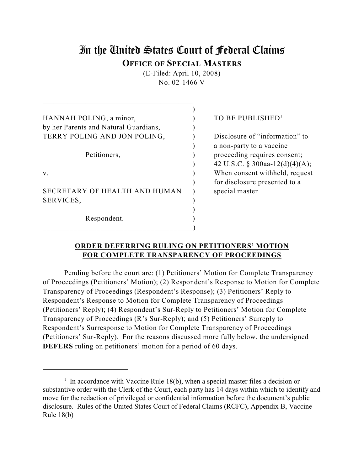# In the United States Court of Federal Claims **OFFICE OF SPECIAL MASTERS**

(E-Filed: April 10, 2008) No. 02-1466 V

| HANNAH POLING, a minor,               |  |
|---------------------------------------|--|
| by her Parents and Natural Guardians, |  |
| TERRY POLING AND JON POLING,          |  |
|                                       |  |
| Petitioners,                          |  |
|                                       |  |
| v                                     |  |
|                                       |  |
| SECRETARY OF HEALTH AND HUMAN         |  |
| SERVICES,                             |  |
|                                       |  |
| Respondent.                           |  |
|                                       |  |

\_\_\_\_\_\_\_\_\_\_\_\_\_\_\_\_\_\_\_\_\_\_\_\_\_\_\_\_\_\_\_\_\_\_\_\_\_\_\_\_\_\_

# TO BE PUBLISHED<sup>1</sup>

Disclosure of "information" to ) a non-party to a vaccine proceeding requires consent; ) 42 U.S.C. § 300aa-12(d)(4)(A); When consent withheld, request ) for disclosure presented to a special master

# **ORDER DEFERRING RULING ON PETITIONERS' MOTION FOR COMPLETE TRANSPARENCY OF PROCEEDINGS**

Pending before the court are: (1) Petitioners' Motion for Complete Transparency of Proceedings (Petitioners' Motion); (2) Respondent's Response to Motion for Complete Transparency of Proceedings (Respondent's Response); (3) Petitioners' Reply to Respondent's Response to Motion for Complete Transparency of Proceedings (Petitioners' Reply); (4) Respondent's Sur-Reply to Petitioners' Motion for Complete Transparency of Proceedings (R's Sur-Reply); and (5) Petitioners' Surreply to Respondent's Surresponse to Motion for Complete Transparency of Proceedings (Petitioners' Sur-Reply). For the reasons discussed more fully below, the undersigned **DEFERS** ruling on petitioners' motion for a period of 60 days.

 $\frac{1}{1}$  In accordance with Vaccine Rule 18(b), when a special master files a decision or substantive order with the Clerk of the Court, each party has 14 days within which to identify and move for the redaction of privileged or confidential information before the document's public disclosure. Rules of the United States Court of Federal Claims (RCFC), Appendix B, Vaccine Rule 18(b)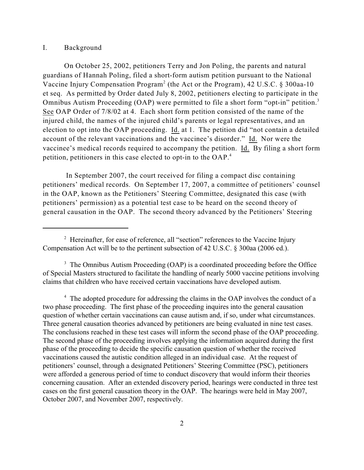#### I. Background

On October 25, 2002, petitioners Terry and Jon Poling, the parents and natural guardians of Hannah Poling, filed a short-form autism petition pursuant to the National Vaccine Injury Compensation Program<sup>2</sup> (the Act or the Program), 42 U.S.C. § 300aa-10 et seq. As permitted by Order dated July 8, 2002, petitioners electing to participate in the Omnibus Autism Proceeding (OAP) were permitted to file a short form "opt-in" petition.<sup>3</sup> See OAP Order of 7/8/02 at 4. Each short form petition consisted of the name of the injured child, the names of the injured child's parents or legal representatives, and an election to opt into the OAP proceeding. Id. at 1. The petition did "not contain a detailed account of the relevant vaccinations and the vaccinee's disorder." Id. Nor were the vaccinee's medical records required to accompany the petition. Id. By filing a short form petition, petitioners in this case elected to opt-in to the OAP.<sup>4</sup>

 In September 2007, the court received for filing a compact disc containing petitioners' medical records. On September 17, 2007, a committee of petitioners' counsel in the OAP, known as the Petitioners' Steering Committee, designated this case (with petitioners' permission) as a potential test case to be heard on the second theory of general causation in the OAP. The second theory advanced by the Petitioners' Steering

<sup>4</sup> The adopted procedure for addressing the claims in the OAP involves the conduct of a two phase proceeding. The first phase of the proceeding inquires into the general causation question of whether certain vaccinations can cause autism and, if so, under what circumstances. Three general causation theories advanced by petitioners are being evaluated in nine test cases. The conclusions reached in these test cases will inform the second phase of the OAP proceeding. The second phase of the proceeding involves applying the information acquired during the first phase of the proceeding to decide the specific causation question of whether the received vaccinations caused the autistic condition alleged in an individual case. At the request of petitioners' counsel, through a designated Petitioners' Steering Committee (PSC), petitioners were afforded a generous period of time to conduct discovery that would inform their theories concerning causation. After an extended discovery period, hearings were conducted in three test cases on the first general causation theory in the OAP. The hearings were held in May 2007, October 2007, and November 2007, respectively.

 $\frac{1}{2}$  Hereinafter, for ease of reference, all "section" references to the Vaccine Injury Compensation Act will be to the pertinent subsection of 42 U.S.C. § 300aa (2006 ed.).

 $3$  The Omnibus Autism Proceeding (OAP) is a coordinated proceeding before the Office of Special Masters structured to facilitate the handling of nearly 5000 vaccine petitions involving claims that children who have received certain vaccinations have developed autism.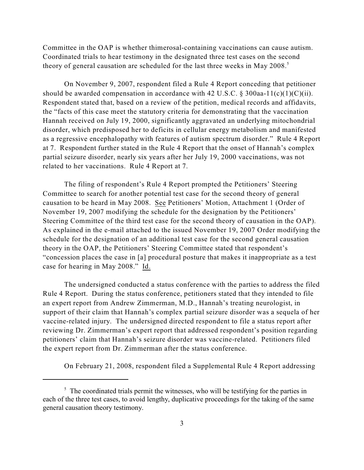Committee in the OAP is whether thimerosal-containing vaccinations can cause autism. Coordinated trials to hear testimony in the designated three test cases on the second theory of general causation are scheduled for the last three weeks in May 2008.<sup>5</sup>

On November 9, 2007, respondent filed a Rule 4 Report conceding that petitioner should be awarded compensation in accordance with 42 U.S.C.  $\S 300$ aa-11(c)(1)(C)(ii). Respondent stated that, based on a review of the petition, medical records and affidavits, the "facts of this case meet the statutory criteria for demonstrating that the vaccination Hannah received on July 19, 2000, significantly aggravated an underlying mitochondrial disorder, which predisposed her to deficits in cellular energy metabolism and manifested as a regressive encephalopathy with features of autism spectrum disorder." Rule 4 Report at 7. Respondent further stated in the Rule 4 Report that the onset of Hannah's complex partial seizure disorder, nearly six years after her July 19, 2000 vaccinations, was not related to her vaccinations. Rule 4 Report at 7.

The filing of respondent's Rule 4 Report prompted the Petitioners' Steering Committee to search for another potential test case for the second theory of general causation to be heard in May 2008. See Petitioners' Motion, Attachment 1 (Order of November 19, 2007 modifying the schedule for the designation by the Petitioners' Steering Committee of the third test case for the second theory of causation in the OAP). As explained in the e-mail attached to the issued November 19, 2007 Order modifying the schedule for the designation of an additional test case for the second general causation theory in the OAP, the Petitioners' Steering Committee stated that respondent's "concession places the case in [a] procedural posture that makes it inappropriate as a test case for hearing in May 2008." Id.

The undersigned conducted a status conference with the parties to address the filed Rule 4 Report. During the status conference, petitioners stated that they intended to file an expert report from Andrew Zimmerman, M.D., Hannah's treating neurologist, in support of their claim that Hannah's complex partial seizure disorder was a sequela of her vaccine-related injury. The undersigned directed respondent to file a status report after reviewing Dr. Zimmerman's expert report that addressed respondent's position regarding petitioners' claim that Hannah's seizure disorder was vaccine-related. Petitioners filed the expert report from Dr. Zimmerman after the status conference.

On February 21, 2008, respondent filed a Supplemental Rule 4 Report addressing

 $\frac{1}{2}$ . The coordinated trials permit the witnesses, who will be testifying for the parties in each of the three test cases, to avoid lengthy, duplicative proceedings for the taking of the same general causation theory testimony.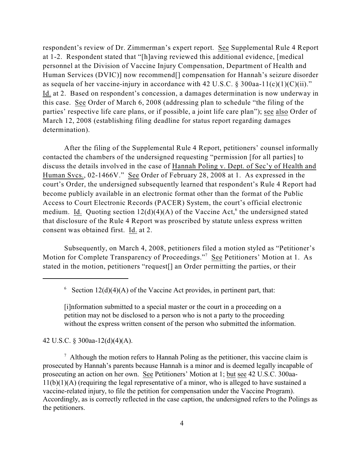respondent's review of Dr. Zimmerman's expert report. See Supplemental Rule 4 Report at 1-2. Respondent stated that "[h]aving reviewed this additional evidence, [medical personnel at the Division of Vaccine Injury Compensation, Department of Health and Human Services (DVIC)] now recommend<sup>[]</sup> compensation for Hannah's seizure disorder as sequela of her vaccine-injury in accordance with 42 U.S.C. § 300aa-11(c)(1)(C)(ii)." Id. at 2. Based on respondent's concession, a damages determination is now underway in this case. See Order of March 6, 2008 (addressing plan to schedule "the filing of the parties' respective life care plans, or if possible, a joint life care plan"); see also Order of March 12, 2008 (establishing filing deadline for status report regarding damages determination).

After the filing of the Supplemental Rule 4 Report, petitioners' counsel informally contacted the chambers of the undersigned requesting "permission [for all parties] to discuss the details involved in the case of Hannah Poling v. Dept. of Sec'y of Health and Human Svcs., 02-1466V." See Order of February 28, 2008 at 1. As expressed in the court's Order, the undersigned subsequently learned that respondent's Rule 4 Report had become publicly available in an electronic format other than the format of the Public Access to Court Electronic Records (PACER) System, the court's official electronic medium. Id. Quoting section  $12(d)(4)(A)$  of the Vaccine Act,<sup>6</sup> the undersigned stated that disclosure of the Rule 4 Report was proscribed by statute unless express written consent was obtained first. Id. at 2.

Subsequently, on March 4, 2008, petitioners filed a motion styled as "Petitioner's Motion for Complete Transparency of Proceedings."<sup>7</sup> See Petitioners' Motion at 1. As stated in the motion, petitioners "request[] an Order permitting the parties, or their

<sup>6</sup> Section  $12(d)(4)(A)$  of the Vaccine Act provides, in pertinent part, that:

[i]nformation submitted to a special master or the court in a proceeding on a petition may not be disclosed to a person who is not a party to the proceeding without the express written consent of the person who submitted the information.

42 U.S.C. § 300aa-12(d)(4)(A).

 $\alpha$  Although the motion refers to Hannah Poling as the petitioner, this vaccine claim is prosecuted by Hannah's parents because Hannah is a minor and is deemed legally incapable of prosecuting an action on her own. See Petitioners' Motion at 1; but see 42 U.S.C. 300aa-11(b)(1)(A) (requiring the legal representative of a minor, who is alleged to have sustained a vaccine-related injury, to file the petition for compensation under the Vaccine Program). Accordingly, as is correctly reflected in the case caption, the undersigned refers to the Polings as the petitioners.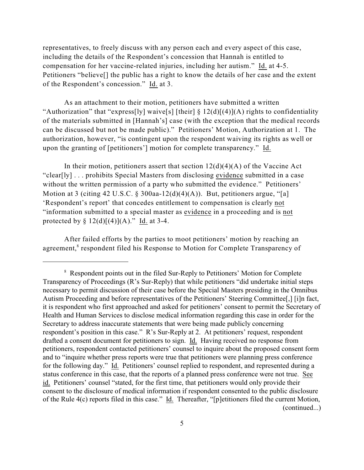representatives, to freely discuss with any person each and every aspect of this case, including the details of the Respondent's concession that Hannah is entitled to compensation for her vaccine-related injuries, including her autism." Id. at 4-5. Petitioners "believe[] the public has a right to know the details of her case and the extent of the Respondent's concession." Id. at 3.

As an attachment to their motion, petitioners have submitted a written "Authorization" that "express[ly] waive[s] [their]  $\S 12(d)[(4)](A)$  rights to confidentiality of the materials submitted in [Hannah's] case (with the exception that the medical records can be discussed but not be made public)." Petitioners' Motion, Authorization at 1. The authorization, however, "is contingent upon the respondent waiving its rights as well or upon the granting of [petitioners'] motion for complete transparency." Id.

In their motion, petitioners assert that section  $12(d)(4)(A)$  of the Vaccine Act "clear[ly] . . . prohibits Special Masters from disclosing evidence submitted in a case without the written permission of a party who submitted the evidence." Petitioners' Motion at 3 (citing 42 U.S.C. § 300aa-12(d)(4)(A)). But, petitioners argue, "[a] 'Respondent's report' that concedes entitlement to compensation is clearly not "information submitted to a special master as evidence in a proceeding and is not protected by  $\S 12(d)[(4)](A)$ ." Id. at 3-4.

After failed efforts by the parties to moot petitioners' motion by reaching an agreement,<sup>8</sup> respondent filed his Response to Motion for Complete Transparency of

<sup>&</sup>lt;sup>8</sup> Respondent points out in the filed Sur-Reply to Petitioners' Motion for Complete Transparency of Proceedings (R's Sur-Reply) that while petitioners "did undertake initial steps necessary to permit discussion of their case before the Special Masters presiding in the Omnibus Autism Proceeding and before representatives of the Petitioners' Steering Committee[,] [i]n fact, it is respondent who first approached and asked for petitioners' consent to permit the Secretary of Health and Human Services to disclose medical information regarding this case in order for the Secretary to address inaccurate statements that were being made publicly concerning respondent's position in this case." R's Sur-Reply at 2. At petitioners' request, respondent drafted a consent document for petitioners to sign. Id. Having received no response from petitioners, respondent contacted petitioners' counsel to inquire about the proposed consent form and to "inquire whether press reports were true that petitioners were planning press conference for the following day." Id. Petitioners' counsel replied to respondent, and represented during a status conference in this case, that the reports of a planned press conference were not true. See id. Petitioners' counsel "stated, for the first time, that petitioners would only provide their consent to the disclosure of medical information if respondent consented to the public disclosure of the Rule 4(c) reports filed in this case." Id. Thereafter, "[p]etitioners filed the current Motion, (continued...)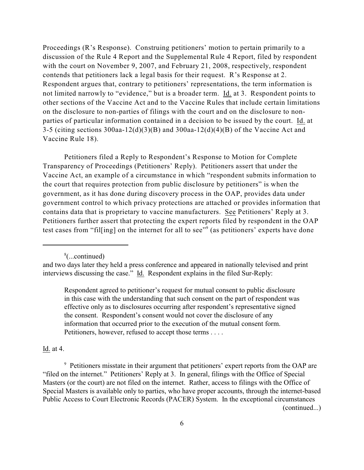Proceedings (R's Response). Construing petitioners' motion to pertain primarily to a discussion of the Rule 4 Report and the Supplemental Rule 4 Report, filed by respondent with the court on November 9, 2007, and February 21, 2008, respectively, respondent contends that petitioners lack a legal basis for their request. R's Response at 2. Respondent argues that, contrary to petitioners' representations, the term information is not limited narrowly to "evidence," but is a broader term. Id. at 3. Respondent points to other sections of the Vaccine Act and to the Vaccine Rules that include certain limitations on the disclosure to non-parties of filings with the court and on the disclosure to nonparties of particular information contained in a decision to be issued by the court. Id. at 3-5 (citing sections 300aa-12(d)(3)(B) and 300aa-12(d)(4)(B) of the Vaccine Act and Vaccine Rule 18).

Petitioners filed a Reply to Respondent's Response to Motion for Complete Transparency of Proceedings (Petitioners' Reply). Petitioners assert that under the Vaccine Act, an example of a circumstance in which "respondent submits information to the court that requires protection from public disclosure by petitioners" is when the government, as it has done during discovery process in the OAP, provides data under government control to which privacy protections are attached or provides information that contains data that is proprietary to vaccine manufacturers. See Petitioners' Reply at 3. Petitioners further assert that protecting the expert reports filed by respondent in the OAP test cases from "filling] on the internet for all to see"<sup>9</sup> (as petitioners' experts have done

 $\frac{8}{2}$ (...continued)

Respondent agreed to petitioner's request for mutual consent to public disclosure in this case with the understanding that such consent on the part of respondent was effective only as to disclosures occurring after respondent's representative signed the consent. Respondent's consent would not cover the disclosure of any information that occurred prior to the execution of the mutual consent form. Petitioners, however, refused to accept those terms . . . .

Id. at 4.

<sup>9</sup> Petitioners misstate in their argument that petitioners' expert reports from the OAP are "filed on the internet." Petitioners' Reply at 3. In general, filings with the Office of Special Masters (or the court) are not filed on the internet. Rather, access to filings with the Office of Special Masters is available only to parties, who have proper accounts, through the internet-based Public Access to Court Electronic Records (PACER) System. In the exceptional circumstances (continued...)

and two days later they held a press conference and appeared in nationally televised and print interviews discussing the case." Id. Respondent explains in the filed Sur-Reply: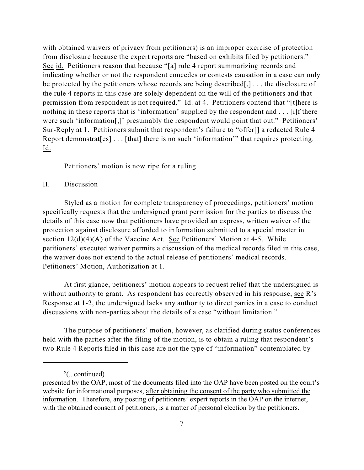with obtained waivers of privacy from petitioners) is an improper exercise of protection from disclosure because the expert reports are "based on exhibits filed by petitioners." See id. Petitioners reason that because "[a] rule 4 report summarizing records and indicating whether or not the respondent concedes or contests causation in a case can only be protected by the petitioners whose records are being described[,] . . . the disclosure of the rule 4 reports in this case are solely dependent on the will of the petitioners and that permission from respondent is not required." Id. at 4. Petitioners contend that "[t]here is nothing in these reports that is 'information' supplied by the respondent and . . . [i]f there were such 'information[,]' presumably the respondent would point that out." Petitioners' Sur-Reply at 1. Petitioners submit that respondent's failure to "offer[] a redacted Rule 4 Report demonstrat[es] . . . [that] there is no such 'information'" that requires protecting. Id.

Petitioners' motion is now ripe for a ruling.

## II. Discussion

Styled as a motion for complete transparency of proceedings, petitioners' motion specifically requests that the undersigned grant permission for the parties to discuss the details of this case now that petitioners have provided an express, written waiver of the protection against disclosure afforded to information submitted to a special master in section  $12(d)(4)(A)$  of the Vaccine Act. See Petitioners' Motion at 4-5. While petitioners' executed waiver permits a discussion of the medical records filed in this case, the waiver does not extend to the actual release of petitioners' medical records. Petitioners' Motion, Authorization at 1.

At first glance, petitioners' motion appears to request relief that the undersigned is without authority to grant. As respondent has correctly observed in his response, see R's Response at 1-2, the undersigned lacks any authority to direct parties in a case to conduct discussions with non-parties about the details of a case "without limitation."

The purpose of petitioners' motion, however, as clarified during status conferences held with the parties after the filing of the motion, is to obtain a ruling that respondent's two Rule 4 Reports filed in this case are not the type of "information" contemplated by

 $\degree$ (...continued)

presented by the OAP, most of the documents filed into the OAP have been posted on the court's website for informational purposes, after obtaining the consent of the party who submitted the information. Therefore, any posting of petitioners' expert reports in the OAP on the internet, with the obtained consent of petitioners, is a matter of personal election by the petitioners.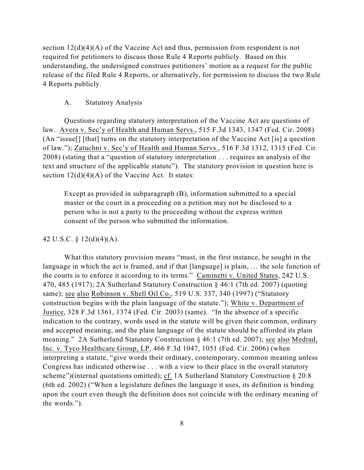section  $12(d)(4)(A)$  of the Vaccine Act and thus, permission from respondent is not required for petitioners to discuss those Rule 4 Reports publicly. Based on this understanding, the undersigned construes petitioners' motion as a request for the public release of the filed Rule 4 Reports, or alternatively, for permission to discuss the two Rule 4 Reports publicly.

## A. Statutory Analysis

Questions regarding statutory interpretation of the Vaccine Act are questions of law. Avera v. Sec'y of Health and Human Servs., 515 F.3d 1343, 1347 (Fed. Cir. 2008) (An "issue[] [that] turns on the statutory interpretation of the Vaccine Act [is] a question of law."); Zatuchni v. Sec'y of Health and Human Servs., 516 F.3d 1312, 1315 (Fed. Cir. 2008) (stating that a "question of statutory interpretation . . . requires an analysis of the text and structure of the applicable statute"). The statutory provision in question here is section  $12(d)(4)(A)$  of the Vaccine Act. It states:

Except as provided in subparagraph (B), information submitted to a special master or the court in a proceeding on a petition may not be disclosed to a person who is not a party to the proceeding without the express written consent of the person who submitted the information.

#### 42 U.S.C. § 12(d)(4)(A).

What this statutory provision means "must, in the first instance, be sought in the language in which the act is framed, and if that [language] is plain, … the sole function of the courts is to enforce it according to its terms." Caminetti v. United States, 242 U.S. 470, 485 (1917); 2A Sutherland Statutory Construction § 46:1 (7th ed. 2007) (quoting same); see also Robinson v. Shell Oil Co., 519 U.S. 337, 340 (1997) ("Statutory construction begins with the plain language of the statute."); White v. Department of Justice, 328 F.3d 1361, 1374 (Fed. Cir. 2003) (same). "In the absence of a specific indication to the contrary, words used in the statute will be given their common, ordinary and accepted meaning, and the plain language of the statute should be afforded its plain meaning." 2A Sutherland Statutory Construction § 46:1 (7th ed. 2007); see also Medrad, Inc. v. Tyco Healthcare Group, LP, 466 F.3d 1047, 1051 (Fed. Cir. 2006) (when interpreting a statute, "give words their ordinary, contemporary, common meaning unless Congress has indicated otherwise . . . with a view to their place in the overall statutory scheme")(internal quotations omitted); cf. 1A Sutherland Statutory Construction § 20:8 (6th ed. 2002) ("When a legislature defines the language it uses, its definition is binding upon the court even though the definition does not coincide with the ordinary meaning of the words.").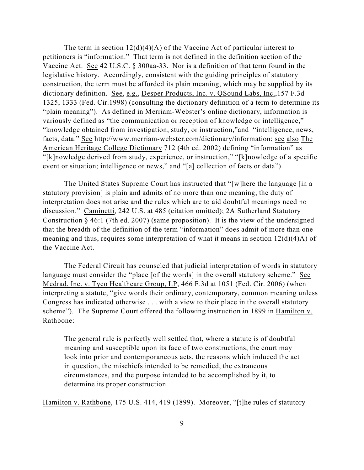The term in section  $12(d)(4)(A)$  of the Vaccine Act of particular interest to petitioners is "information." That term is not defined in the definition section of the Vaccine Act. See 42 U.S.C. § 300aa-33. Nor is a definition of that term found in the legislative history. Accordingly, consistent with the guiding principles of statutory construction, the term must be afforded its plain meaning, which may be supplied by its dictionary definition. See, e.g., Desper Products, Inc. v. QSound Labs, Inc.,157 F.3d 1325, 1333 (Fed. Cir.1998) (consulting the dictionary definition of a term to determine its "plain meaning"). As defined in Merriam-Webster's online dictionary, information is variously defined as "the communication or reception of knowledge or intelligence," "knowledge obtained from investigation, study, or instruction,"and "intelligence, news, facts, data." See http://www.merriam-webster.com/dictionary/information; see also The American Heritage College Dictionary 712 (4th ed. 2002) defining "information" as "[k]nowledge derived from study, experience, or instruction," "[k]nowledge of a specific event or situation; intelligence or news," and "[a] collection of facts or data").

The United States Supreme Court has instructed that "[w]here the language [in a statutory provision] is plain and admits of no more than one meaning, the duty of interpretation does not arise and the rules which are to aid doubtful meanings need no discussion." Caminetti, 242 U.S. at 485 (citation omitted); 2A Sutherland Statutory Construction § 46:1 (7th ed. 2007) (same proposition). It is the view of the undersigned that the breadth of the definition of the term "information" does admit of more than one meaning and thus, requires some interpretation of what it means in section 12(d)(4)A) of the Vaccine Act.

The Federal Circuit has counseled that judicial interpretation of words in statutory language must consider the "place [of the words] in the overall statutory scheme." See Medrad, Inc. v. Tyco Healthcare Group, LP, 466 F.3d at 1051 (Fed. Cir. 2006) (when interpreting a statute, "give words their ordinary, contemporary, common meaning unless Congress has indicated otherwise . . . with a view to their place in the overall statutory scheme"). The Supreme Court offered the following instruction in 1899 in Hamilton v. Rathbone:

The general rule is perfectly well settled that, where a statute is of doubtful meaning and susceptible upon its face of two constructions, the court may look into prior and contemporaneous acts, the reasons which induced the act in question, the mischiefs intended to be remedied, the extraneous circumstances, and the purpose intended to be accomplished by it, to determine its proper construction.

Hamilton v. Rathbone, 175 U.S. 414, 419 (1899). Moreover, "[t]he rules of statutory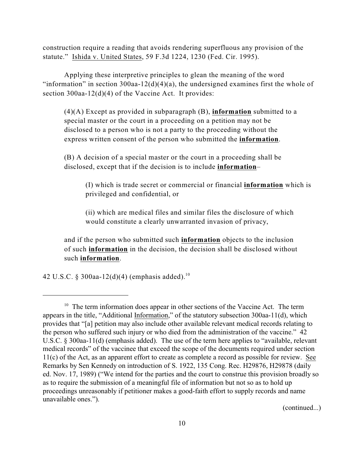construction require a reading that avoids rendering superfluous any provision of the statute." Ishida v. United States, 59 F.3d 1224, 1230 (Fed. Cir. 1995).

Applying these interpretive principles to glean the meaning of the word "information" in section  $300$ aa-12(d)(4)(a), the undersigned examines first the whole of section 300aa-12(d)(4) of the Vaccine Act. It provides:

(4)(A) Except as provided in subparagraph (B), **information** submitted to a special master or the court in a proceeding on a petition may not be disclosed to a person who is not a party to the proceeding without the express written consent of the person who submitted the **information**.

(B) A decision of a special master or the court in a proceeding shall be disclosed, except that if the decision is to include **information**–

(I) which is trade secret or commercial or financial **information** which is privileged and confidential, or

(ii) which are medical files and similar files the disclosure of which would constitute a clearly unwarranted invasion of privacy,

and if the person who submitted such **information** objects to the inclusion of such **information** in the decision, the decision shall be disclosed without such **information**.

42 U.S.C. § 300aa-12(d)(4) (emphasis added).<sup>10</sup>

(continued...)

 $10$  The term information does appear in other sections of the Vaccine Act. The term appears in the title, "Additional Information," of the statutory subsection 300aa-11(d), which provides that "[a] petition may also include other available relevant medical records relating to the person who suffered such injury or who died from the administration of the vaccine." 42 U.S.C. § 300aa-11(d) (emphasis added). The use of the term here applies to "available, relevant medical records" of the vaccinee that exceed the scope of the documents required under section 11(c) of the Act, as an apparent effort to create as complete a record as possible for review. See Remarks by Sen Kennedy on introduction of S. 1922, 135 Cong. Rec. H29876, H29878 (daily ed. Nov. 17, 1989) ("We intend for the parties and the court to construe this provision broadly so as to require the submission of a meaningful file of information but not so as to hold up proceedings unreasonably if petitioner makes a good-faith effort to supply records and name unavailable ones.").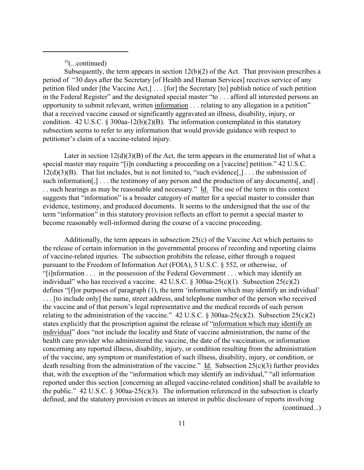$10$ (...continued)

Subsequently, the term appears in section  $12(b)(2)$  of the Act. That provision prescribes a period of "30 days after the Secretary [of Health and Human Services] receives service of any petition filed under [the Vaccine Act,] . . . [for] the Secretary [to] publish notice of such petition in the Federal Register" and the designated special master "to . . . afford all interested persons an opportunity to submit relevant, written information . . . relating to any allegation in a petition" that a received vaccine caused or significantly aggravated an illness, disability, injury, or condition. 42 U.S.C. § 300aa-12(b)(2)(B). The information contemplated in this statutory subsection seems to refer to any information that would provide guidance with respect to petitioner's claim of a vaccine-related injury.

Later in section  $12(d)(3)(B)$  of the Act, the term appears in the enumerated list of what a special master may require "[i]n conducting a proceeding on a [vaccine] petition." 42 U.S.C.  $12(d)(3)(B)$ . That list includes, but is not limited to, "such evidence[,] ... the submission of such information[,]... the testimony of any person and the production of any documents[, and]. . . such hearings as may be reasonable and necessary." Id. The use of the term in this context suggests that "information" is a broader category of matter for a special master to consider than evidence, testimony, and produced documents. It seems to the undersigned that the use of the term "information" in this statutory provision reflects an effort to permit a special master to become reasonably well-informed during the course of a vaccine proceeding.

Additionally, the term appears in subsection 25(c) of the Vaccine Act which pertains to the release of certain information in the governmental process of recording and reporting claims of vaccine-related injuries. The subsection prohibits the release, either through a request pursuant to the Freedom of Information Act (FOIA), 5 U.S.C. § 552, or otherwise, of "[i]nformation . . . in the possession of the Federal Government . . . which may identify an individual" who has received a vaccine.  $42 \text{ U.S.C.}$  §  $300$ aa- $25(c)(1)$ . Subsection  $25(c)(2)$ defines "[f]or purposes of paragraph (1), the term 'information which may identify an individual' . . . [to include only] the name, street address, and telephone number of the person who received the vaccine and of that person's legal representative and the medical records of such person relating to the administration of the vaccine." 42 U.S.C.  $\S 300$ aa-25(c)(2). Subsection 25(c)(2) states explicitly that the proscription against the release of "information which may identify an individual" does "not include the locality and State of vaccine administration, the name of the health care provider who administered the vaccine, the date of the vaccination, or information concerning any reported illness, disability, injury, or condition resulting from the administration of the vaccine, any symptom or manifestation of such illness, disability, injury, or condition, or death resulting from the administration of the vaccine." Id. Subsection  $25(c)(3)$  further provides that, with the exception of the "information which may identify an individual," "all information reported under this section [concerning an alleged vaccine-related condition] shall be available to the public."  $42 \text{ U.S.C. }$   $\S$  300aa-25(c)(3). The information referenced in the subsection is clearly defined, and the statutory provision evinces an interest in public disclosure of reports involving (continued...)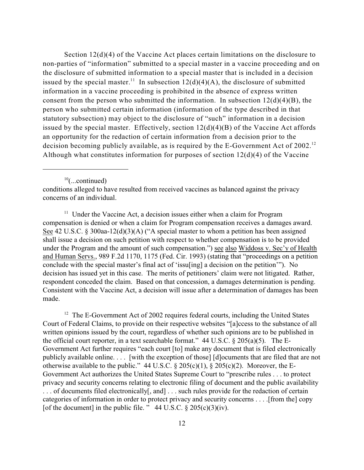Section  $12(d)(4)$  of the Vaccine Act places certain limitations on the disclosure to non-parties of "information" submitted to a special master in a vaccine proceeding and on the disclosure of submitted information to a special master that is included in a decision issued by the special master.<sup>11</sup> In subsection  $12(d)(4)(A)$ , the disclosure of submitted information in a vaccine proceeding is prohibited in the absence of express written consent from the person who submitted the information. In subsection  $12(d)(4)(B)$ , the person who submitted certain information (information of the type described in that statutory subsection) may object to the disclosure of "such" information in a decision issued by the special master. Effectively, section  $12(d)(4)(B)$  of the Vaccine Act affords an opportunity for the redaction of certain information from a decision prior to the decision becoming publicly available, as is required by the E-Government Act of 2002.<sup>12</sup> Although what constitutes information for purposes of section 12(d)(4) of the Vaccine

 $10$ (...continued)

conditions alleged to have resulted from received vaccines as balanced against the privacy concerns of an individual.

 $11$  Under the Vaccine Act, a decision issues either when a claim for Program compensation is denied or when a claim for Program compensation receives a damages award. See 42 U.S.C.  $\S 300$ aa-12(d)(3)(A) ("A special master to whom a petition has been assigned shall issue a decision on such petition with respect to whether compensation is to be provided under the Program and the amount of such compensation.") see also Widdoss v. Sec'y of Health and Human Servs., 989 F.2d 1170, 1175 (Fed. Cir. 1993) (stating that "proceedings on a petition conclude with the special master's final act of 'issu[ing] a decision on the petition'"). No decision has issued yet in this case. The merits of petitioners' claim were not litigated. Rather, respondent conceded the claim. Based on that concession, a damages determination is pending. Consistent with the Vaccine Act, a decision will issue after a determination of damages has been made.

 $12$  The E-Government Act of 2002 requires federal courts, including the United States Court of Federal Claims, to provide on their respective websites "[a]ccess to the substance of all written opinions issued by the court, regardless of whether such opinions are to be published in the official court reporter, in a text searchable format."  $44 \text{ U.S.C.} \& 205(a)(5)$ . The E-Government Act further requires "each court [to] make any document that is filed electronically publicly available online. . . . [with the exception of those] [d]ocuments that are filed that are not otherwise available to the public." 44 U.S.C.  $\S 205(c)(1)$ ,  $\S 205(c)(2)$ . Moreover, the E-Government Act authorizes the United States Supreme Court to "prescribe rules . . . to protect privacy and security concerns relating to electronic filing of document and the public availability . . . of documents filed electronically[, and] . . . such rules provide for the redaction of certain categories of information in order to protect privacy and security concerns . . . .[from the] copy [of the document] in the public file. " 44 U.S.C.  $\S 205(c)(3)(iv)$ .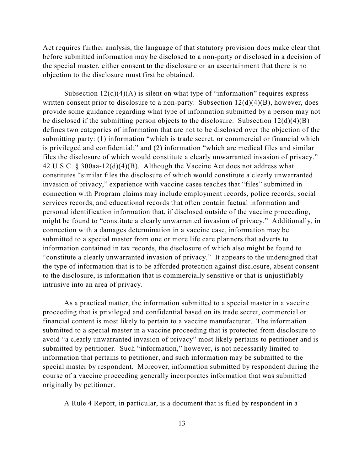Act requires further analysis, the language of that statutory provision does make clear that before submitted information may be disclosed to a non-party or disclosed in a decision of the special master, either consent to the disclosure or an ascertainment that there is no objection to the disclosure must first be obtained.

Subsection  $12(d)(4)(A)$  is silent on what type of "information" requires express written consent prior to disclosure to a non-party. Subsection  $12(d)(4)(B)$ , however, does provide some guidance regarding what type of information submitted by a person may not be disclosed if the submitting person objects to the disclosure. Subsection  $12(d)(4)(B)$ defines two categories of information that are not to be disclosed over the objection of the submitting party: (1) information "which is trade secret, or commercial or financial which is privileged and confidential;" and (2) information "which are medical files and similar files the disclosure of which would constitute a clearly unwarranted invasion of privacy." 42 U.S.C. § 300aa-12(d)(4)(B). Although the Vaccine Act does not address what constitutes "similar files the disclosure of which would constitute a clearly unwarranted invasion of privacy," experience with vaccine cases teaches that "files" submitted in connection with Program claims may include employment records, police records, social services records, and educational records that often contain factual information and personal identification information that, if disclosed outside of the vaccine proceeding, might be found to "constitute a clearly unwarranted invasion of privacy." Additionally, in connection with a damages determination in a vaccine case, information may be submitted to a special master from one or more life care planners that adverts to information contained in tax records, the disclosure of which also might be found to "constitute a clearly unwarranted invasion of privacy." It appears to the undersigned that the type of information that is to be afforded protection against disclosure, absent consent to the disclosure, is information that is commercially sensitive or that is unjustifiably intrusive into an area of privacy.

As a practical matter, the information submitted to a special master in a vaccine proceeding that is privileged and confidential based on its trade secret, commercial or financial content is most likely to pertain to a vaccine manufacturer. The information submitted to a special master in a vaccine proceeding that is protected from disclosure to avoid "a clearly unwarranted invasion of privacy" most likely pertains to petitioner and is submitted by petitioner. Such "information," however, is not necessarily limited to information that pertains to petitioner, and such information may be submitted to the special master by respondent. Moreover, information submitted by respondent during the course of a vaccine proceeding generally incorporates information that was submitted originally by petitioner.

A Rule 4 Report, in particular, is a document that is filed by respondent in a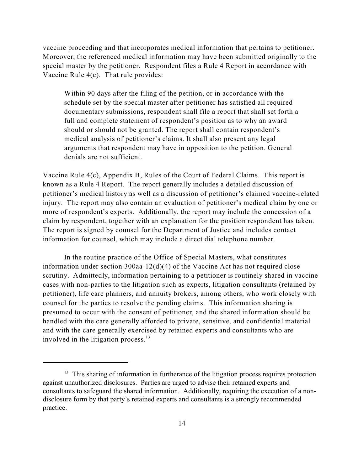vaccine proceeding and that incorporates medical information that pertains to petitioner. Moreover, the referenced medical information may have been submitted originally to the special master by the petitioner. Respondent files a Rule 4 Report in accordance with Vaccine Rule 4(c). That rule provides:

Within 90 days after the filing of the petition, or in accordance with the schedule set by the special master after petitioner has satisfied all required documentary submissions, respondent shall file a report that shall set forth a full and complete statement of respondent's position as to why an award should or should not be granted. The report shall contain respondent's medical analysis of petitioner's claims. It shall also present any legal arguments that respondent may have in opposition to the petition. General denials are not sufficient.

Vaccine Rule 4(c), Appendix B, Rules of the Court of Federal Claims. This report is known as a Rule 4 Report. The report generally includes a detailed discussion of petitioner's medical history as well as a discussion of petitioner's claimed vaccine-related injury. The report may also contain an evaluation of petitioner's medical claim by one or more of respondent's experts. Additionally, the report may include the concession of a claim by respondent, together with an explanation for the position respondent has taken. The report is signed by counsel for the Department of Justice and includes contact information for counsel, which may include a direct dial telephone number.

In the routine practice of the Office of Special Masters, what constitutes information under section  $300$ aa- $12(d)(4)$  of the Vaccine Act has not required close scrutiny. Admittedly, information pertaining to a petitioner is routinely shared in vaccine cases with non-parties to the litigation such as experts, litigation consultants (retained by petitioner), life care planners, and annuity brokers, among others, who work closely with counsel for the parties to resolve the pending claims. This information sharing is presumed to occur with the consent of petitioner, and the shared information should be handled with the care generally afforded to private, sensitive, and confidential material and with the care generally exercised by retained experts and consultants who are involved in the litigation process.<sup>13</sup>

 $13$  This sharing of information in furtherance of the litigation process requires protection against unauthorized disclosures. Parties are urged to advise their retained experts and consultants to safeguard the shared information. Additionally, requiring the execution of a nondisclosure form by that party's retained experts and consultants is a strongly recommended practice.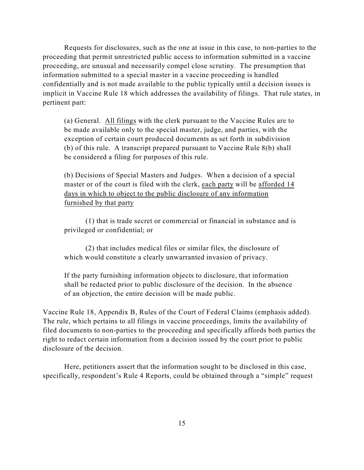Requests for disclosures, such as the one at issue in this case, to non-parties to the proceeding that permit unrestricted public access to information submitted in a vaccine proceeding, are unusual and necessarily compel close scrutiny. The presumption that information submitted to a special master in a vaccine proceeding is handled confidentially and is not made available to the public typically until a decision issues is implicit in Vaccine Rule 18 which addresses the availability of filings. That rule states, in pertinent part:

(a) General. All filings with the clerk pursuant to the Vaccine Rules are to be made available only to the special master, judge, and parties, with the exception of certain court produced documents as set forth in subdivision (b) of this rule. A transcript prepared pursuant to Vaccine Rule 8(b) shall be considered a filing for purposes of this rule.

(b) Decisions of Special Masters and Judges. When a decision of a special master or of the court is filed with the clerk, each party will be afforded 14 days in which to object to the public disclosure of any information furnished by that party

(1) that is trade secret or commercial or financial in substance and is privileged or confidential; or

(2) that includes medical files or similar files, the disclosure of which would constitute a clearly unwarranted invasion of privacy.

If the party furnishing information objects to disclosure, that information shall be redacted prior to public disclosure of the decision. In the absence of an objection, the entire decision will be made public.

Vaccine Rule 18, Appendix B, Rules of the Court of Federal Claims (emphasis added). The rule, which pertains to all filings in vaccine proceedings, limits the availability of filed documents to non-parties to the proceeding and specifically affords both parties the right to redact certain information from a decision issued by the court prior to public disclosure of the decision.

Here, petitioners assert that the information sought to be disclosed in this case, specifically, respondent's Rule 4 Reports, could be obtained through a "simple" request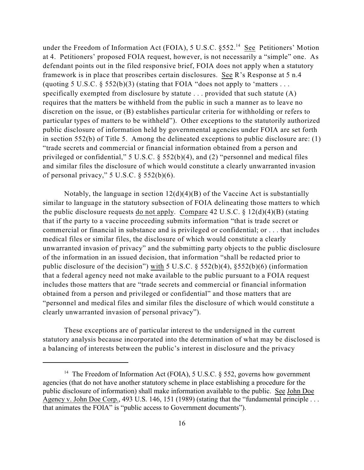under the Freedom of Information Act (FOIA), 5 U.S.C.  $\S 552$ .<sup>14</sup> See Petitioners' Motion at 4. Petitioners' proposed FOIA request, however, is not necessarily a "simple" one. As defendant points out in the filed responsive brief, FOIA does not apply when a statutory framework is in place that proscribes certain disclosures. See R's Response at 5 n.4 (quoting 5 U.S.C.  $\S$  552(b)(3) (stating that FOIA "does not apply to 'matters ... specifically exempted from disclosure by statute . . . provided that such statute (A) requires that the matters be withheld from the public in such a manner as to leave no discretion on the issue, or (B) establishes particular criteria for withholding or refers to particular types of matters to be withheld"). Other exceptions to the statutorily authorized public disclosure of information held by governmental agencies under FOIA are set forth in section 552(b) of Title 5. Among the delineated exceptions to public disclosure are: (1) "trade secrets and commercial or financial information obtained from a person and privileged or confidential," 5 U.S.C. § 552(b)(4), and (2) "personnel and medical files and similar files the disclosure of which would constitute a clearly unwarranted invasion of personal privacy,"  $5 \text{ U.S.C. }$  §  $552(b)(6)$ .

Notably, the language in section  $12(d)(4)(B)$  of the Vaccine Act is substantially similar to language in the statutory subsection of FOIA delineating those matters to which the public disclosure requests do not apply. Compare 42 U.S.C. § 12(d)(4)(B) (stating that if the party to a vaccine proceeding submits information "that is trade secret or commercial or financial in substance and is privileged or confidential; or . . . that includes medical files or similar files, the disclosure of which would constitute a clearly unwarranted invasion of privacy" and the submitting party objects to the public disclosure of the information in an issued decision, that information "shall be redacted prior to public disclosure of the decision") with 5 U.S.C.  $\S$  552(b)(4),  $\S$ 552(b)(6) (information that a federal agency need not make available to the public pursuant to a FOIA request includes those matters that are "trade secrets and commercial or financial information obtained from a person and privileged or confidential" and those matters that are "personnel and medical files and similar files the disclosure of which would constitute a clearly unwarranted invasion of personal privacy").

These exceptions are of particular interest to the undersigned in the current statutory analysis because incorporated into the determination of what may be disclosed is a balancing of interests between the public's interest in disclosure and the privacy

<sup>&</sup>lt;sup>14</sup> The Freedom of Information Act (FOIA), 5 U.S.C.  $\S$  552, governs how government agencies (that do not have another statutory scheme in place establishing a procedure for the public disclosure of information) shall make information available to the public. See John Doe Agency v. John Doe Corp., 493 U.S. 146, 151 (1989) (stating that the "fundamental principle . . . that animates the FOIA" is "public access to Government documents").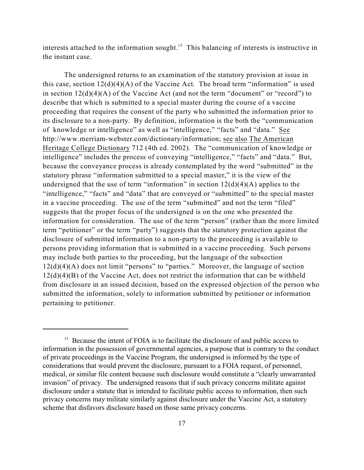interests attached to the information sought.<sup>15</sup> This balancing of interests is instructive in the instant case.

The undersigned returns to an examination of the statutory provision at issue in this case, section  $12(d)(4)(A)$  of the Vaccine Act. The broad term "information" is used in section  $12(d)(4)(A)$  of the Vaccine Act (and not the term "document" or "record") to describe that which is submitted to a special master during the course of a vaccine proceeding that requires the consent of the party who submitted the information prior to its disclosure to a non-party. By definition, information is the both the "communication of knowledge or intelligence" as well as "intelligence," "facts" and "data." See http://www.merriam-webster.com/dictionary/information; see also The American Heritage College Dictionary 712 (4th ed. 2002). The "communication of knowledge or intelligence" includes the process of conveying "intelligence," "facts" and "data." But, because the conveyance process is already contemplated by the word "submitted" in the statutory phrase "information submitted to a special master," it is the view of the undersigned that the use of term "information" in section  $12(d)(4)(A)$  applies to the "intelligence," "facts" and "data" that are conveyed or "submitted" to the special master in a vaccine proceeding. The use of the term "submitted" and not the term "filed" suggests that the proper focus of the undersigned is on the one who presented the information for consideration. The use of the term "person" (rather than the more limited term "petitioner" or the term "party") suggests that the statutory protection against the disclosure of submitted information to a non-party to the proceeding is available to persons providing information that is submitted in a vaccine proceeding. Such persons may include both parties to the proceeding, but the language of the subsection 12(d)(4)(A) does not limit "persons" to "parties." Moreover, the language of section  $12(d)(4)(B)$  of the Vaccine Act, does not restrict the information that can be withheld from disclosure in an issued decision, based on the expressed objection of the person who submitted the information, solely to information submitted by petitioner or information pertaining to petitioner.

 $15$  Because the intent of FOIA is to facilitate the disclosure of and public access to information in the possession of governmental agencies, a purpose that is contrary to the conduct of private proceedings in the Vaccine Program, the undersigned is informed by the type of considerations that would prevent the disclosure, pursuant to a FOIA request, of personnel, medical, or similar file content because such disclosure would constitute a "clearly unwarranted invasion" of privacy. The undersigned reasons that if such privacy concerns militate against disclosure under a statute that is intended to facilitate public access to information, then such privacy concerns may militate similarly against disclosure under the Vaccine Act, a statutory scheme that disfavors disclosure based on those same privacy concerns.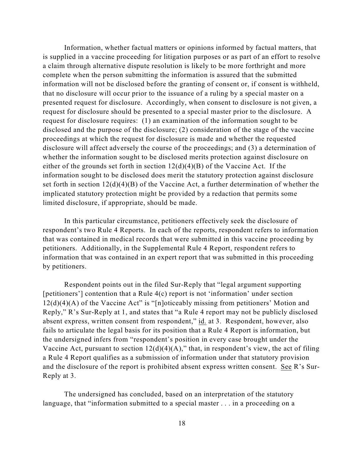Information, whether factual matters or opinions informed by factual matters, that is supplied in a vaccine proceeding for litigation purposes or as part of an effort to resolve a claim through alternative dispute resolution is likely to be more forthright and more complete when the person submitting the information is assured that the submitted information will not be disclosed before the granting of consent or, if consent is withheld, that no disclosure will occur prior to the issuance of a ruling by a special master on a presented request for disclosure. Accordingly, when consent to disclosure is not given, a request for disclosure should be presented to a special master prior to the disclosure. A request for disclosure requires: (1) an examination of the information sought to be disclosed and the purpose of the disclosure; (2) consideration of the stage of the vaccine proceedings at which the request for disclosure is made and whether the requested disclosure will affect adversely the course of the proceedings; and (3) a determination of whether the information sought to be disclosed merits protection against disclosure on either of the grounds set forth in section  $12(d)(4)(B)$  of the Vaccine Act. If the information sought to be disclosed does merit the statutory protection against disclosure set forth in section  $12(d)(4)(B)$  of the Vaccine Act, a further determination of whether the implicated statutory protection might be provided by a redaction that permits some limited disclosure, if appropriate, should be made.

In this particular circumstance, petitioners effectively seek the disclosure of respondent's two Rule 4 Reports. In each of the reports, respondent refers to information that was contained in medical records that were submitted in this vaccine proceeding by petitioners. Additionally, in the Supplemental Rule 4 Report, respondent refers to information that was contained in an expert report that was submitted in this proceeding by petitioners.

Respondent points out in the filed Sur-Reply that "legal argument supporting [petitioners'] contention that a Rule 4(c) report is not 'information' under section 12(d)(4)(A) of the Vaccine Act" is "[n]oticeably missing from petitioners' Motion and Reply," R's Sur-Reply at 1, and states that "a Rule 4 report may not be publicly disclosed absent express, written consent from respondent," id. at 3. Respondent, however, also fails to articulate the legal basis for its position that a Rule 4 Report is information, but the undersigned infers from "respondent's position in every case brought under the Vaccine Act, pursuant to section  $12(d)(4)(A)$ ," that, in respondent's view, the act of filing a Rule 4 Report qualifies as a submission of information under that statutory provision and the disclosure of the report is prohibited absent express written consent. See R's Sur-Reply at 3.

The undersigned has concluded, based on an interpretation of the statutory language, that "information submitted to a special master . . . in a proceeding on a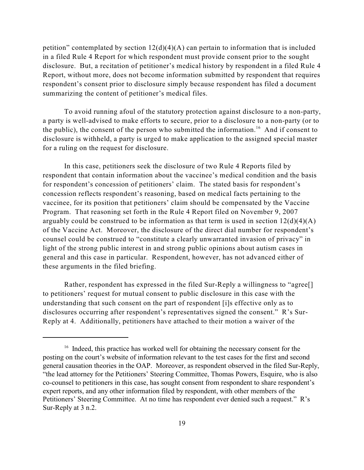petition" contemplated by section  $12(d)(4)(A)$  can pertain to information that is included in a filed Rule 4 Report for which respondent must provide consent prior to the sought disclosure. But, a recitation of petitioner's medical history by respondent in a filed Rule 4 Report, without more, does not become information submitted by respondent that requires respondent's consent prior to disclosure simply because respondent has filed a document summarizing the content of petitioner's medical files.

To avoid running afoul of the statutory protection against disclosure to a non-party, a party is well-advised to make efforts to secure, prior to a disclosure to a non-party (or to the public), the consent of the person who submitted the information.<sup>16</sup> And if consent to disclosure is withheld, a party is urged to make application to the assigned special master for a ruling on the request for disclosure.

In this case, petitioners seek the disclosure of two Rule 4 Reports filed by respondent that contain information about the vaccinee's medical condition and the basis for respondent's concession of petitioners' claim. The stated basis for respondent's concession reflects respondent's reasoning, based on medical facts pertaining to the vaccinee, for its position that petitioners' claim should be compensated by the Vaccine Program. That reasoning set forth in the Rule 4 Report filed on November 9, 2007 arguably could be construed to be information as that term is used in section  $12(d)(4)(A)$ of the Vaccine Act. Moreover, the disclosure of the direct dial number for respondent's counsel could be construed to "constitute a clearly unwarranted invasion of privacy" in light of the strong public interest in and strong public opinions about autism cases in general and this case in particular. Respondent, however, has not advanced either of these arguments in the filed briefing.

Rather, respondent has expressed in the filed Sur-Reply a willingness to "agree[] to petitioners' request for mutual consent to public disclosure in this case with the understanding that such consent on the part of respondent [i]s effective only as to disclosures occurring after respondent's representatives signed the consent." R's Sur-Reply at 4. Additionally, petitioners have attached to their motion a waiver of the

 $16$  Indeed, this practice has worked well for obtaining the necessary consent for the posting on the court's website of information relevant to the test cases for the first and second general causation theories in the OAP. Moreover, as respondent observed in the filed Sur-Reply, "the lead attorney for the Petitioners' Steering Committee, Thomas Powers, Esquire, who is also co-counsel to petitioners in this case, has sought consent from respondent to share respondent's expert reports, and any other information filed by respondent, with other members of the Petitioners' Steering Committee. At no time has respondent ever denied such a request." R's Sur-Reply at 3 n.2.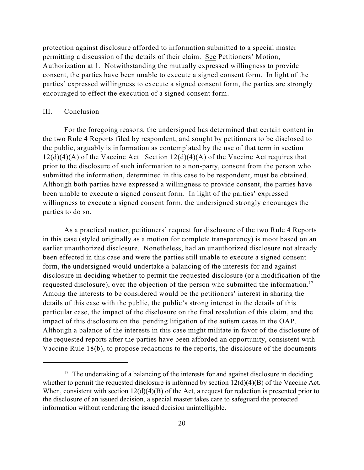protection against disclosure afforded to information submitted to a special master permitting a discussion of the details of their claim. See Petitioners' Motion, Authorization at 1. Notwithstanding the mutually expressed willingness to provide consent, the parties have been unable to execute a signed consent form. In light of the parties' expressed willingness to execute a signed consent form, the parties are strongly encouraged to effect the execution of a signed consent form.

## III. Conclusion

For the foregoing reasons, the undersigned has determined that certain content in the two Rule 4 Reports filed by respondent, and sought by petitioners to be disclosed to the public, arguably is information as contemplated by the use of that term in section  $12(d)(4)(A)$  of the Vaccine Act. Section  $12(d)(4)(A)$  of the Vaccine Act requires that prior to the disclosure of such information to a non-party, consent from the person who submitted the information, determined in this case to be respondent, must be obtained. Although both parties have expressed a willingness to provide consent, the parties have been unable to execute a signed consent form. In light of the parties' expressed willingness to execute a signed consent form, the undersigned strongly encourages the parties to do so.

As a practical matter, petitioners' request for disclosure of the two Rule 4 Reports in this case (styled originally as a motion for complete transparency) is moot based on an earlier unauthorized disclosure. Nonetheless, had an unauthorized disclosure not already been effected in this case and were the parties still unable to execute a signed consent form, the undersigned would undertake a balancing of the interests for and against disclosure in deciding whether to permit the requested disclosure (or a modification of the requested disclosure), over the objection of the person who submitted the information.<sup>17</sup> Among the interests to be considered would be the petitioners' interest in sharing the details of this case with the public, the public's strong interest in the details of this particular case, the impact of the disclosure on the final resolution of this claim, and the impact of this disclosure on the pending litigation of the autism cases in the OAP. Although a balance of the interests in this case might militate in favor of the disclosure of the requested reports after the parties have been afforded an opportunity, consistent with Vaccine Rule 18(b), to propose redactions to the reports, the disclosure of the documents

 $17$  The undertaking of a balancing of the interests for and against disclosure in deciding whether to permit the requested disclosure is informed by section  $12(d)(4)(B)$  of the Vaccine Act. When, consistent with section  $12(d)(4)(B)$  of the Act, a request for redaction is presented prior to the disclosure of an issued decision, a special master takes care to safeguard the protected information without rendering the issued decision unintelligible.